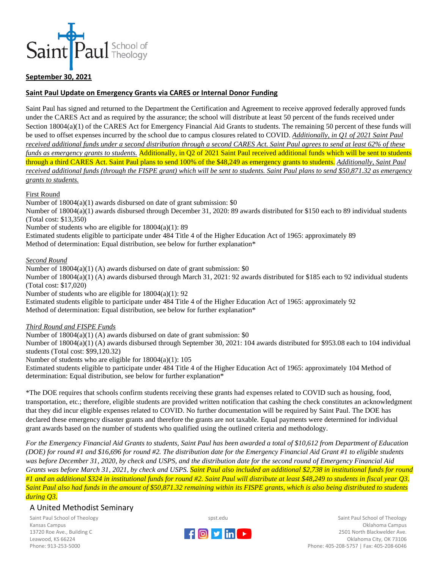

## **September 30, 2021**

## **Saint Paul Update on Emergency Grants via CARES or Internal Donor Funding**

Saint Paul has signed and returned to the Department the Certification and Agreement to receive approved federally approved funds under the CARES Act and as required by the assurance; the school will distribute at least 50 percent of the funds received under Section 18004(a)(1) of the CARES Act for Emergency Financial Aid Grants to students. The remaining 50 percent of these funds will be used to offset expenses incurred by the school due to campus closures related to COVID. *Additionally, in Q1 of 2021 Saint Paul received additional funds under a second distribution through a second CARES Act. Saint Paul agrees to send at least 62% of these funds as emergency grants to students.* Additionally, in Q2 of 2021 Saint Paul received additional funds which will be sent to students through a third CARES Act. Saint Paul plans to send 100% of the \$48,249 as emergency grants to students. *Additionally, Saint Paul received additional funds (through the FISPE grant) which will be sent to students. Saint Paul plans to send \$50,871.32 as emergency grants to students.*

#### First Round

Number of 18004(a)(1) awards disbursed on date of grant submission: \$0

Number of 18004(a)(1) awards disbursed through December 31, 2020: 89 awards distributed for \$150 each to 89 individual students (Total cost: \$13,350)

Number of students who are eligible for 18004(a)(1): 89

Estimated students eligible to participate under 484 Title 4 of the Higher Education Act of 1965: approximately 89 Method of determination: Equal distribution, see below for further explanation\*

*Second Round* 

Number of 18004(a)(1) (A) awards disbursed on date of grant submission: \$0

Number of 18004(a)(1) (A) awards disbursed through March 31, 2021: 92 awards distributed for \$185 each to 92 individual students (Total cost: \$17,020)

Number of students who are eligible for 18004(a)(1): 92

Estimated students eligible to participate under 484 Title 4 of the Higher Education Act of 1965: approximately 92 Method of determination: Equal distribution, see below for further explanation\*

#### *Third Round and FISPE Funds*

Number of 18004(a)(1) (A) awards disbursed on date of grant submission: \$0

Number of 18004(a)(1) (A) awards disbursed through September 30, 2021: 104 awards distributed for \$953.08 each to 104 individual students (Total cost: \$99,120.32)

Number of students who are eligible for 18004(a)(1): 105

Estimated students eligible to participate under 484 Title 4 of the Higher Education Act of 1965: approximately 104 Method of determination: Equal distribution, see below for further explanation\*

\*The DOE requires that schools confirm students receiving these grants had expenses related to COVID such as housing, food, transportation, etc.; therefore, eligible students are provided written notification that cashing the check constitutes an acknowledgment that they did incur eligible expenses related to COVID. No further documentation will be required by Saint Paul. The DOE has declared these emergency disaster grants and therefore the grants are not taxable. Equal payments were determined for individual grant awards based on the number of students who qualified using the outlined criteria and methodology.

*For the Emergency Financial Aid Grants to students, Saint Paul has been awarded a total of \$10,612 from Department of Education (DOE) for round #1 and \$16,696 for round #2. The distribution date for the Emergency Financial Aid Grant #1 to eligible students was before December 31, 2020, by check and USPS, and the distribution date for the second round of Emergency Financial Aid Grants was before March 31, 2021, by check and USPS. Saint Paul also included an additional \$2,738 in institutional funds for round #1 and an additional \$324 in institutional funds for round #2. Saint Paul will distribute at least \$48,249 to students in fiscal year Q3. Saint Paul also had funds in the amount of \$50,871.32 remaining within its FISPE grants, which is also being distributed to students during Q3.*

## A United Methodist Seminary

Saint Paul School of Theology Kansas Campus 13720 Roe Ave., Building C Leawood, KS 66224 Phone: 913-253-5000



Saint Paul School of Theology Oklahoma Campus 2501 North Blackwelder Ave. Oklahoma City, OK 73106 Phone: 405-208-5757 | Fax: 405-208-6046